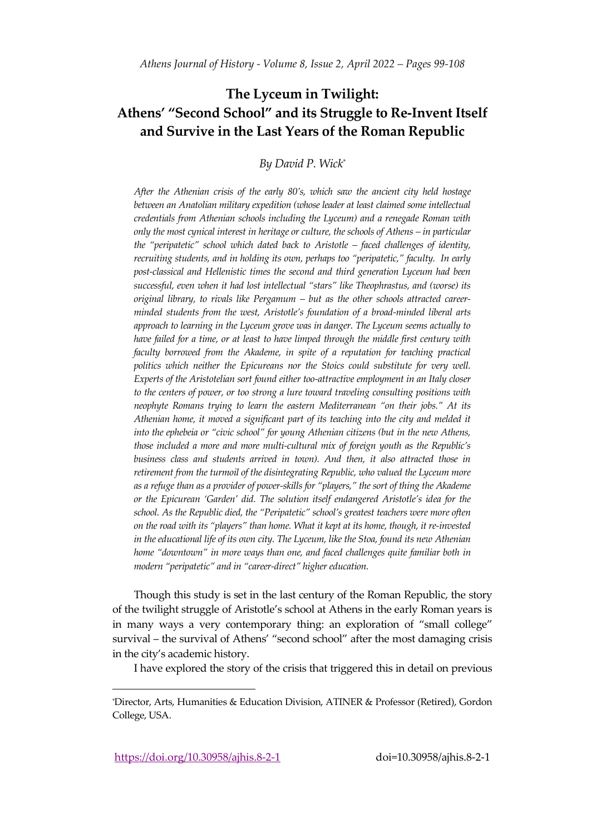## **The Lyceum in Twilight: Athens' "Second School" and its Struggle to Re-Invent Itself and Survive in the Last Years of the Roman Republic**

## *By David P. Wick\**

*After the Athenian crisis of the early 80's, which saw the ancient city held hostage between an Anatolian military expedition (whose leader at least claimed some intellectual credentials from Athenian schools including the Lyceum) and a renegade Roman with only the most cynical interest in heritage or culture, the schools of Athens – in particular the 'peripatetic' school which dated back to Aristotle – faced challenges of identity, recruiting students, and in holding its own, perhaps too 'peripatetic,' faculty. In early post-classical and Hellenistic times the second and third generation Lyceum had been successful, even when it had lost intellectual 'stars' like Theophrastus, and (worse) its original library, to rivals like Pergamum – but as the other schools attracted careerminded students from the west, Aristotle's foundation of a broad-minded liberal arts approach to learning in the Lyceum grove was in danger. The Lyceum seems actually to have failed for a time, or at least to have limped through the middle first century with*  faculty borrowed from the Akademe, in spite of a reputation for teaching practical *politics which neither the Epicureans nor the Stoics could substitute for very well. Experts of the Aristotelian sort found either too-attractive employment in an Italy closer to the centers of power, or too strong a lure toward traveling consulting positions with neophyte Romans trying to learn the eastern Mediterranean 'on their jobs.' At its Athenian home, it moved a significant part of its teaching into the city and melded it into the ephebeia or 'civic school' for young Athenian citizens (but in the new Athens, those included a more and more multi-cultural mix of foreign youth as the Republic's business class and students arrived in town). And then, it also attracted those in retirement from the turmoil of the disintegrating Republic, who valued the Lyceum more as a refuge than as a provider of power-skills for 'players,' the sort of thing the Akademe or the Epicurean 'Garden' did. The solution itself endangered Aristotle's idea for the school. As the Republic died, the 'Peripatetic' school's greatest teachers were more often on the road with its 'players' than home. What it kept at its home, though, it re-invested in the educational life of its own city. The Lyceum, like the Stoa, found its new Athenian home 'downtown' in more ways than one, and faced challenges quite familiar both in modern 'peripatetic' and in 'career-direct' higher education.*

Though this study is set in the last century of the Roman Republic, the story of the twilight struggle of Aristotle's school at Athens in the early Roman years is in many ways a very contemporary thing: an exploration of 'small college' survival – the survival of Athens' "second school" after the most damaging crisis in the city's academic history.

I have explored the story of the crisis that triggered this in detail on previous

https://doi.org/10.30958/ajhis.8-2-1 doi=10.30958/ajhis.8-2-1

<sup>\*</sup>Director, Arts, Humanities & Education Division, ATINER & Professor (Retired), Gordon College, USA.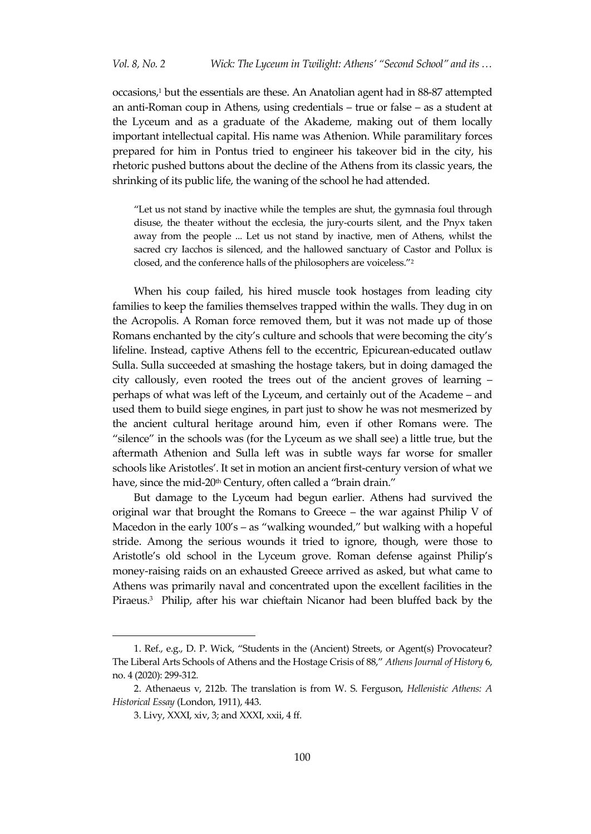occasions, <sup>1</sup> but the essentials are these. An Anatolian agent had in 88-87 attempted an anti-Roman coup in Athens, using credentials – true or false – as a student at the Lyceum and as a graduate of the Akademe, making out of them locally important intellectual capital. His name was Athenion. While paramilitary forces prepared for him in Pontus tried to engineer his takeover bid in the city, his rhetoric pushed buttons about the decline of the Athens from its classic years, the shrinking of its public life, the waning of the school he had attended.

'Let us not stand by inactive while the temples are shut, the gymnasia foul through disuse, the theater without the ecclesia, the jury-courts silent, and the Pnyx taken away from the people ... Let us not stand by inactive, men of Athens, whilst the sacred cry Iacchos is silenced, and the hallowed sanctuary of Castor and Pollux is closed, and the conference halls of the philosophers are voiceless."<sup>2</sup>

When his coup failed, his hired muscle took hostages from leading city families to keep the families themselves trapped within the walls. They dug in on the Acropolis. A Roman force removed them, but it was not made up of those Romans enchanted by the city's culture and schools that were becoming the city's lifeline. Instead, captive Athens fell to the eccentric, Epicurean-educated outlaw Sulla. Sulla succeeded at smashing the hostage takers, but in doing damaged the city callously, even rooted the trees out of the ancient groves of learning – perhaps of what was left of the Lyceum, and certainly out of the Academe – and used them to build siege engines, in part just to show he was not mesmerized by the ancient cultural heritage around him, even if other Romans were. The 'silence' in the schools was (for the Lyceum as we shall see) a little true, but the aftermath Athenion and Sulla left was in subtle ways far worse for smaller schools like Aristotles'. It set in motion an ancient first-century version of what we have, since the mid-20<sup>th</sup> Century, often called a "brain drain."

But damage to the Lyceum had begun earlier. Athens had survived the original war that brought the Romans to Greece – the war against Philip V of Macedon in the early  $100's - as$  "walking wounded," but walking with a hopeful stride. Among the serious wounds it tried to ignore, though, were those to Aristotle's old school in the Lyceum grove. Roman defense against Philip's money-raising raids on an exhausted Greece arrived as asked, but what came to Athens was primarily naval and concentrated upon the excellent facilities in the Piraeus.<sup>3</sup> Philip, after his war chieftain Nicanor had been bluffed back by the

<sup>1.</sup> Ref., e.g., D. P. Wick, 'Students in the (Ancient) Streets, or Agent(s) Provocateur? The Liberal Arts Schools of Athens and the Hostage Crisis of 88,' *Athens Journal of History* 6, no. 4 (2020): 299-312*.*

<sup>2.</sup> Athenaeus v, 212b. The translation is from W. S. Ferguson, *Hellenistic Athens: A Historical Essay* (London, 1911), 443.

<sup>3.</sup> Livy, XXXI, xiv, 3; and XXXI, xxii, 4 ff.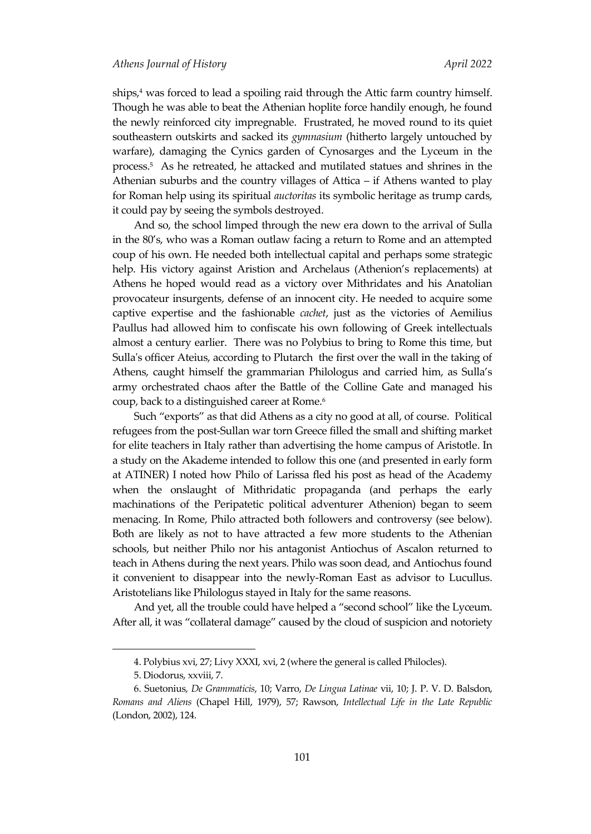ships,<sup>4</sup> was forced to lead a spoiling raid through the Attic farm country himself. Though he was able to beat the Athenian hoplite force handily enough, he found the newly reinforced city impregnable. Frustrated, he moved round to its quiet southeastern outskirts and sacked its *gymnasium* (hitherto largely untouched by warfare), damaging the Cynics garden of Cynosarges and the Lyceum in the process.<sup>5</sup> As he retreated, he attacked and mutilated statues and shrines in the Athenian suburbs and the country villages of Attica – if Athens wanted to play for Roman help using its spiritual *auctoritas* its symbolic heritage as trump cards, it could pay by seeing the symbols destroyed.

And so, the school limped through the new era down to the arrival of Sulla in the 80's, who was a Roman outlaw facing a return to Rome and an attempted coup of his own. He needed both intellectual capital and perhaps some strategic help. His victory against Aristion and Archelaus (Athenion's replacements) at Athens he hoped would read as a victory over Mithridates and his Anatolian provocateur insurgents, defense of an innocent city. He needed to acquire some captive expertise and the fashionable *cachet*, just as the victories of Aemilius Paullus had allowed him to confiscate his own following of Greek intellectuals almost a century earlier. There was no Polybius to bring to Rome this time, but Sulla's officer Ateius, according to Plutarch the first over the wall in the taking of Athens, caught himself the grammarian Philologus and carried him, as Sulla's army orchestrated chaos after the Battle of the Colline Gate and managed his coup, back to a distinguished career at Rome.<sup>6</sup>

Such 'exports' as that did Athens as a city no good at all, of course. Political refugees from the post-Sullan war torn Greece filled the small and shifting market for elite teachers in Italy rather than advertising the home campus of Aristotle. In a study on the Akademe intended to follow this one (and presented in early form at ATINER) I noted how Philo of Larissa fled his post as head of the Academy when the onslaught of Mithridatic propaganda (and perhaps the early machinations of the Peripatetic political adventurer Athenion) began to seem menacing. In Rome, Philo attracted both followers and controversy (see below). Both are likely as not to have attracted a few more students to the Athenian schools, but neither Philo nor his antagonist Antiochus of Ascalon returned to teach in Athens during the next years. Philo was soon dead, and Antiochus found it convenient to disappear into the newly-Roman East as advisor to Lucullus. Aristotelians like Philologus stayed in Italy for the same reasons.

And yet, all the trouble could have helped a "second school" like the Lyceum. After all, it was 'collateral damage' caused by the cloud of suspicion and notoriety

<sup>4.</sup> Polybius xvi, 27; Livy XXXI, xvi, 2 (where the general is called Philocles).

<sup>5.</sup> Diodorus, xxviii, 7.

<sup>6.</sup> Suetonius, *De Grammaticis*, 10; Varro, *De Lingua Latinae* vii, 10; J. P. V. D. Balsdon, *Romans and Aliens* (Chapel Hill, 1979), 57; Rawson, *Intellectual Life in the Late Republic* (London, 2002), 124.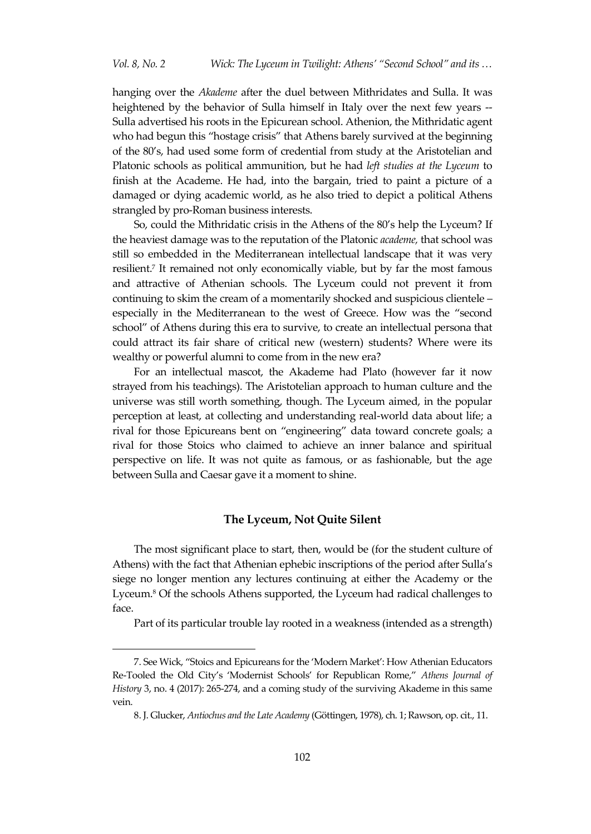hanging over the *Akademe* after the duel between Mithridates and Sulla. It was heightened by the behavior of Sulla himself in Italy over the next few years --Sulla advertised his roots in the Epicurean school. Athenion, the Mithridatic agent who had begun this "hostage crisis" that Athens barely survived at the beginning of the 80's, had used some form of credential from study at the Aristotelian and Platonic schools as political ammunition, but he had *left studies at the Lyceum* to finish at the Academe. He had, into the bargain, tried to paint a picture of a damaged or dying academic world, as he also tried to depict a political Athens strangled by pro-Roman business interests.

So, could the Mithridatic crisis in the Athens of the 80's help the Lyceum? If the heaviest damage was to the reputation of the Platonic *academe,* that school was still so embedded in the Mediterranean intellectual landscape that it was very resilient. 7 It remained not only economically viable, but by far the most famous and attractive of Athenian schools. The Lyceum could not prevent it from continuing to skim the cream of a momentarily shocked and suspicious clientele – especially in the Mediterranean to the west of Greece. How was the 'second school' of Athens during this era to survive, to create an intellectual persona that could attract its fair share of critical new (western) students? Where were its wealthy or powerful alumni to come from in the new era?

For an intellectual mascot, the Akademe had Plato (however far it now strayed from his teachings). The Aristotelian approach to human culture and the universe was still worth something, though. The Lyceum aimed, in the popular perception at least, at collecting and understanding real-world data about life; a rival for those Epicureans bent on 'engineering' data toward concrete goals; a rival for those Stoics who claimed to achieve an inner balance and spiritual perspective on life. It was not quite as famous, or as fashionable, but the age between Sulla and Caesar gave it a moment to shine.

## **The Lyceum, Not Quite Silent**

The most significant place to start, then, would be (for the student culture of Athens) with the fact that Athenian ephebic inscriptions of the period after Sulla's siege no longer mention any lectures continuing at either the Academy or the Lyceum. <sup>8</sup> Of the schools Athens supported, the Lyceum had radical challenges to face.

Part of its particular trouble lay rooted in a weakness (intended as a strength)

<sup>7.</sup> See Wick, 'Stoics and Epicureans for the 'Modern Market': How Athenian Educators Re-Tooled the Old City's 'Modernist Schools' for Republican Rome,' *Athens Journal of History* 3, no. 4 (2017): 265-274, and a coming study of the surviving Akademe in this same vein.

<sup>8.</sup> J. Glucker, *Antiochus and the Late Academy* (Göttingen, 1978), ch. 1; Rawson, op. cit., 11.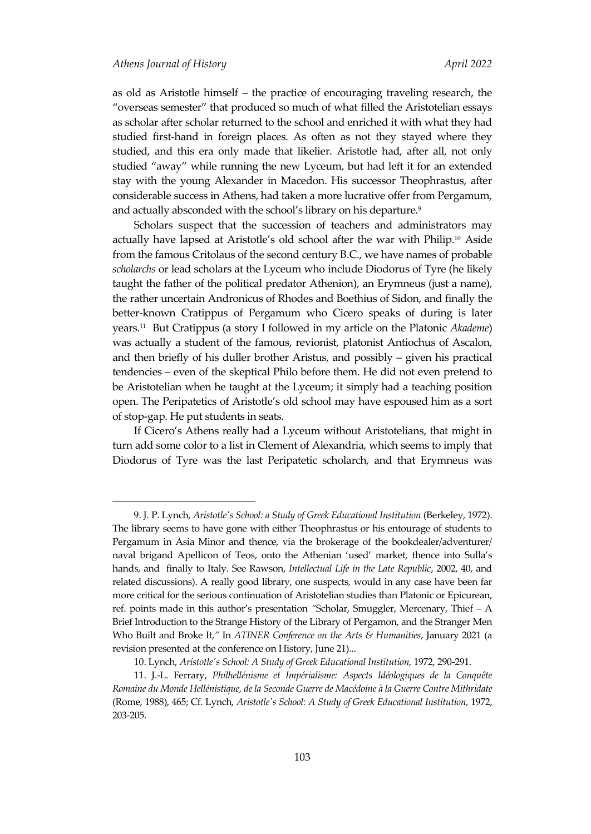$\overline{a}$ 

as old as Aristotle himself – the practice of encouraging traveling research, the 'overseas semester' that produced so much of what filled the Aristotelian essays as scholar after scholar returned to the school and enriched it with what they had studied first-hand in foreign places. As often as not they stayed where they studied, and this era only made that likelier. Aristotle had, after all, not only studied 'away' while running the new Lyceum, but had left it for an extended stay with the young Alexander in Macedon. His successor Theophrastus, after considerable success in Athens, had taken a more lucrative offer from Pergamum, and actually absconded with the school's library on his departure. $^9$ 

Scholars suspect that the succession of teachers and administrators may actually have lapsed at Aristotle's old school after the war with Philip. <sup>10</sup> Aside from the famous Critolaus of the second century B.C., we have names of probable *scholarchs* or lead scholars at the Lyceum who include Diodorus of Tyre (he likely taught the father of the political predator Athenion), an Erymneus (just a name), the rather uncertain Andronicus of Rhodes and Boethius of Sidon, and finally the better-known Cratippus of Pergamum who Cicero speaks of during is later years.<sup>11</sup> But Cratippus (a story I followed in my article on the Platonic *Akademe*) was actually a student of the famous, revionist, platonist Antiochus of Ascalon, and then briefly of his duller brother Aristus, and possibly – given his practical tendencies – even of the skeptical Philo before them. He did not even pretend to be Aristotelian when he taught at the Lyceum; it simply had a teaching position open. The Peripatetics of Aristotle's old school may have espoused him as a sort of stop-gap. He put students in seats.

If Cicero's Athens really had a Lyceum without Aristotelians, that might in turn add some color to a list in Clement of Alexandria, which seems to imply that Diodorus of Tyre was the last Peripatetic scholarch, and that Erymneus was

<sup>9.</sup> J. P. Lynch, *Aristotle's School: a Study of Greek Educational Institution* (Berkeley, 1972). The library seems to have gone with either Theophrastus or his entourage of students to Pergamum in Asia Minor and thence, via the brokerage of the bookdealer/adventurer/ naval brigand Apellicon of Teos, onto the Athenian 'used' market, thence into Sulla's hands, and finally to Italy. See Rawson, *Intellectual Life in the Late Republic*, 2002, 40, and related discussions). A really good library, one suspects, would in any case have been far more critical for the serious continuation of Aristotelian studies than Platonic or Epicurean, ref. points made in this author's presentation *'*Scholar, Smuggler, Mercenary, Thief – A Brief Introduction to the Strange History of the Library of Pergamon, and the Stranger Men Who Built and Broke It,*'* In *ATINER Conference on the Arts & Humanities*, January 2021 (a revision presented at the conference on History, June 21)...

<sup>10.</sup> Lynch, *Aristotle's School: A Study of Greek Educational Institution,* 1972, 290-291.

<sup>11.</sup> J.-L. Ferrary, *Philhellénisme et Impérialisme: Aspects Idéologiques de la Conquête Romaine du Monde Hellénistique, de la Seconde Guerre de Macédoine à la Guerre Contre Mithridate* (Rome, 1988), 465; Cf. Lynch, *Aristotle's School: A Study of Greek Educational Institution,* 1972, 203-205.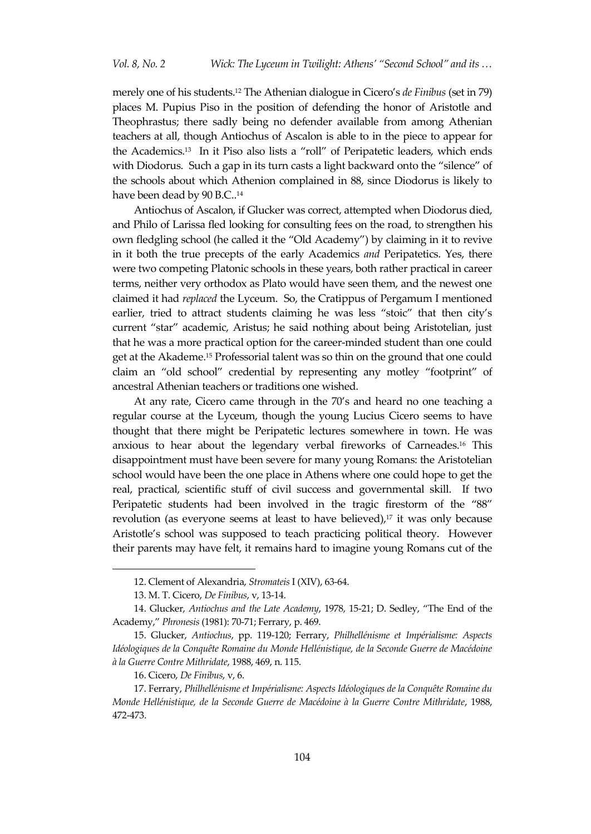merely one of his students.<sup>12</sup> The Athenian dialogue in Cicero's *de Finibus* (set in 79) places M. Pupius Piso in the position of defending the honor of Aristotle and Theophrastus; there sadly being no defender available from among Athenian teachers at all, though Antiochus of Ascalon is able to in the piece to appear for the Academics.<sup>13</sup> In it Piso also lists a 'roll' of Peripatetic leaders, which ends with Diodorus. Such a gap in its turn casts a light backward onto the "silence" of the schools about which Athenion complained in 88, since Diodorus is likely to have been dead by 90 B.C..<sup>14</sup>

Antiochus of Ascalon, if Glucker was correct, attempted when Diodorus died, and Philo of Larissa fled looking for consulting fees on the road, to strengthen his own fledgling school (he called it the 'Old Academy') by claiming in it to revive in it both the true precepts of the early Academics *and* Peripatetics. Yes, there were two competing Platonic schools in these years, both rather practical in career terms, neither very orthodox as Plato would have seen them, and the newest one claimed it had *replaced* the Lyceum. So, the Cratippus of Pergamum I mentioned earlier, tried to attract students claiming he was less "stoic" that then city's current 'star' academic, Aristus; he said nothing about being Aristotelian, just that he was a more practical option for the career-minded student than one could get at the Akademe. <sup>15</sup> Professorial talent was so thin on the ground that one could claim an 'old school' credential by representing any motley 'footprint' of ancestral Athenian teachers or traditions one wished.

At any rate, Cicero came through in the 70's and heard no one teaching a regular course at the Lyceum, though the young Lucius Cicero seems to have thought that there might be Peripatetic lectures somewhere in town. He was anxious to hear about the legendary verbal fireworks of Carneades.<sup>16</sup> This disappointment must have been severe for many young Romans: the Aristotelian school would have been the one place in Athens where one could hope to get the real, practical, scientific stuff of civil success and governmental skill. If two Peripatetic students had been involved in the tragic firestorm of the "88" revolution (as everyone seems at least to have believed),<sup>17</sup> it was only because Aristotle's school was supposed to teach practicing political theory. However their parents may have felt, it remains hard to imagine young Romans cut of the

<sup>12.</sup> Clement of Alexandria, *Stromateis* I (XIV), 63-64.

<sup>13.</sup> M. T. Cicero, *De Finibus*, v, 13-14.

<sup>14.</sup> Glucker, *Antiochus and the Late Academy*, 1978, 15-21; D. Sedley, 'The End of the Academy,' *Phronesis* (1981): 70-71; Ferrary, p. 469.

<sup>15.</sup> Glucker, *Antiochus*, pp. 119-120; Ferrary, *Philhellénisme et Impérialisme: Aspects Idéologiques de la Conquête Romaine du Monde Hellénistique, de la Seconde Guerre de Macédoine à la Guerre Contre Mithridate*, 1988, 469, n. 115.

<sup>16.</sup> Cicero, *De Finibus*, v, 6.

<sup>17.</sup> Ferrary, *Philhellénisme et Impérialisme: Aspects Idéologiques de la Conquête Romaine du Monde Hellénistique, de la Seconde Guerre de Macédoine à la Guerre Contre Mithridate*, 1988, 472-473.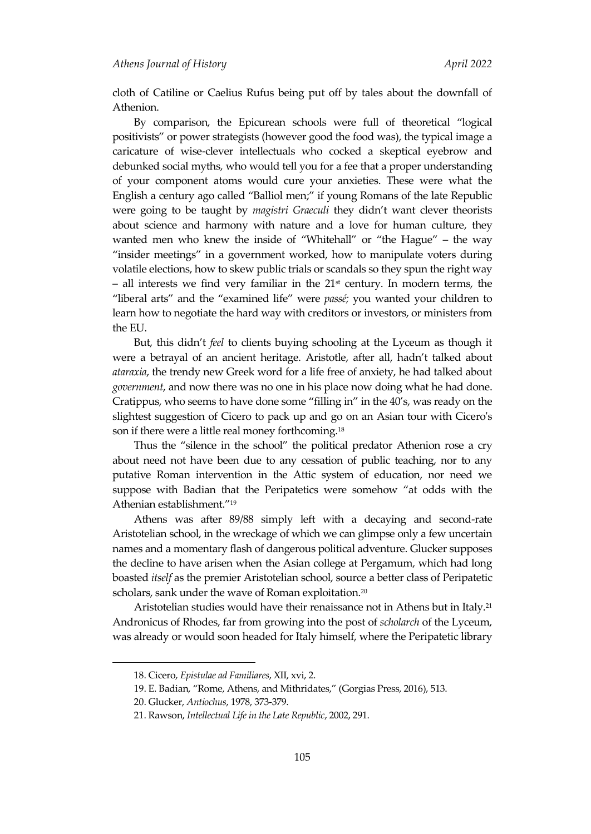cloth of Catiline or Caelius Rufus being put off by tales about the downfall of Athenion.

By comparison, the Epicurean schools were full of theoretical 'logical positivists' or power strategists (however good the food was), the typical image a caricature of wise-clever intellectuals who cocked a skeptical eyebrow and debunked social myths, who would tell you for a fee that a proper understanding of your component atoms would cure your anxieties. These were what the English a century ago called 'Balliol men;' if young Romans of the late Republic were going to be taught by *magistri Graeculi* they didn't want clever theorists about science and harmony with nature and a love for human culture, they wanted men who knew the inside of "Whitehall" or "the Hague" – the way 'insider meetings' in a government worked, how to manipulate voters during volatile elections, how to skew public trials or scandals so they spun the right way – all interests we find very familiar in the  $21<sup>st</sup>$  century. In modern terms, the 'liberal arts' and the 'examined life' were *passé;* you wanted your children to learn how to negotiate the hard way with creditors or investors, or ministers from the EU.

But, this didn't *feel* to clients buying schooling at the Lyceum as though it were a betrayal of an ancient heritage. Aristotle, after all, hadn't talked about *ataraxia*, the trendy new Greek word for a life free of anxiety, he had talked about *government*, and now there was no one in his place now doing what he had done. Cratippus, who seems to have done some 'filling in' in the 40's, was ready on the slightest suggestion of Cicero to pack up and go on an Asian tour with Cicero's son if there were a little real money forthcoming.<sup>18</sup>

Thus the "silence in the school" the political predator Athenion rose a cry about need not have been due to any cessation of public teaching, nor to any putative Roman intervention in the Attic system of education, nor need we suppose with Badian that the Peripatetics were somehow 'at odds with the Athenian establishment.'<sup>19</sup>

Athens was after 89/88 simply left with a decaying and second-rate Aristotelian school, in the wreckage of which we can glimpse only a few uncertain names and a momentary flash of dangerous political adventure. Glucker supposes the decline to have arisen when the Asian college at Pergamum, which had long boasted *itself* as the premier Aristotelian school, source a better class of Peripatetic scholars, sank under the wave of Roman exploitation. $^{20}$ 

Aristotelian studies would have their renaissance not in Athens but in Italy.<sup>21</sup> Andronicus of Rhodes, far from growing into the post of *scholarch* of the Lyceum, was already or would soon headed for Italy himself, where the Peripatetic library

<sup>18.</sup> Cicero, *Epistulae ad Familiares*, XII, xvi, 2.

<sup>19.</sup> E. Badian, 'Rome, Athens, and Mithridates,' (Gorgias Press, 2016), 513.

<sup>20.</sup> Glucker, *Antiochus*, 1978, 373-379.

<sup>21.</sup> Rawson, *Intellectual Life in the Late Republic*, 2002, 291.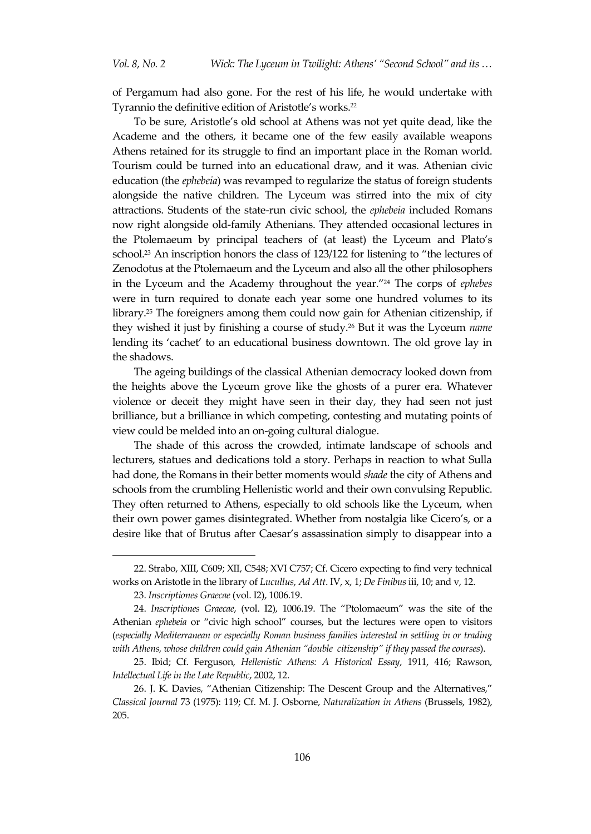of Pergamum had also gone. For the rest of his life, he would undertake with Tyrannio the definitive edition of Aristotle's works.<sup>22</sup>

To be sure, Aristotle's old school at Athens was not yet quite dead, like the Academe and the others, it became one of the few easily available weapons Athens retained for its struggle to find an important place in the Roman world. Tourism could be turned into an educational draw, and it was. Athenian civic education (the *ephebeia*) was revamped to regularize the status of foreign students alongside the native children. The Lyceum was stirred into the mix of city attractions. Students of the state-run civic school, the *ephebeia* included Romans now right alongside old-family Athenians. They attended occasional lectures in the Ptolemaeum by principal teachers of (at least) the Lyceum and Plato's school. <sup>23</sup> An inscription honors the class of 123/122 for listening to 'the lectures of Zenodotus at the Ptolemaeum and the Lyceum and also all the other philosophers in the Lyceum and the Academy throughout the year.'<sup>24</sup> The corps of *ephebes* were in turn required to donate each year some one hundred volumes to its library.<sup>25</sup> The foreigners among them could now gain for Athenian citizenship, if they wished it just by finishing a course of study. <sup>26</sup> But it was the Lyceum *name* lending its 'cachet' to an educational business downtown. The old grove lay in the shadows.

The ageing buildings of the classical Athenian democracy looked down from the heights above the Lyceum grove like the ghosts of a purer era. Whatever violence or deceit they might have seen in their day, they had seen not just brilliance, but a brilliance in which competing, contesting and mutating points of view could be melded into an on-going cultural dialogue.

The shade of this across the crowded, intimate landscape of schools and lecturers, statues and dedications told a story. Perhaps in reaction to what Sulla had done, the Romans in their better moments would *shade* the city of Athens and schools from the crumbling Hellenistic world and their own convulsing Republic. They often returned to Athens, especially to old schools like the Lyceum, when their own power games disintegrated. Whether from nostalgia like Cicero's, or a desire like that of Brutus after Caesar's assassination simply to disappear into a

<sup>22.</sup> Strabo, XIII, C609; XII, C548; XVI C757; Cf. Cicero expecting to find very technical works on Aristotle in the library of *Lucullus*, *Ad Att*. IV, x, 1; *De Finibus* iii, 10; and v, 12.

<sup>23.</sup> *Inscriptiones Graecae* (vol. I2), 1006.19.

<sup>24.</sup> *Inscriptiones Graecae*, (vol. I2), 1006.19. The 'Ptolomaeum' was the site of the Athenian *ephebeia* or 'civic high school' courses, but the lectures were open to visitors (*especially Mediterranean or especially Roman business families interested in settling in or trading with Athens, whose children could gain Athenian 'double citizenship' if they passed the courses*).

<sup>25.</sup> Ibid; Cf. Ferguson, *Hellenistic Athens: A Historical Essay*, 1911, 416; Rawson, *Intellectual Life in the Late Republic*, 2002, 12.

<sup>26.</sup> J. K. Davies, 'Athenian Citizenship: The Descent Group and the Alternatives,' *Classical Journal* 73 (1975): 119; Cf. M. J. Osborne, *Naturalization in Athens* (Brussels, 1982), 205.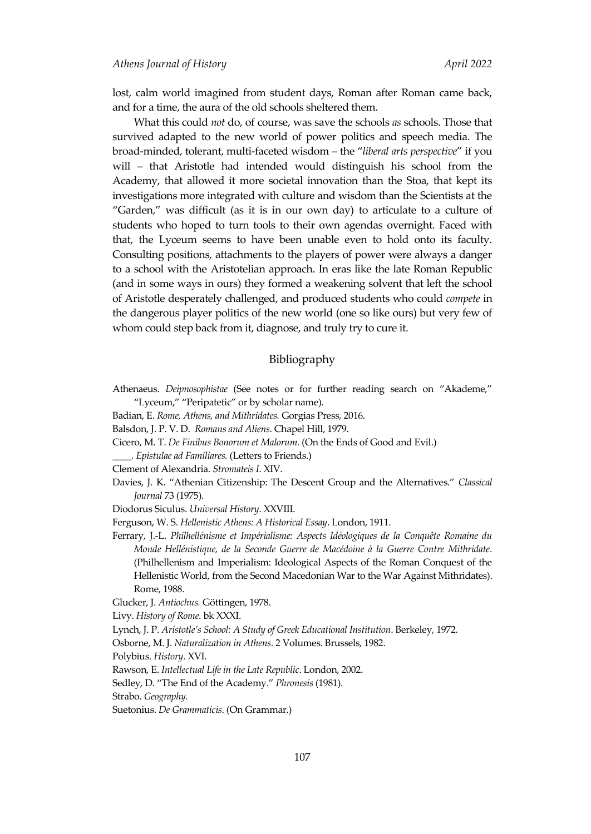lost, calm world imagined from student days, Roman after Roman came back, and for a time, the aura of the old schools sheltered them.

What this could *not* do, of course, was save the schools *as* schools. Those that survived adapted to the new world of power politics and speech media. The broad-minded, tolerant, multi-faceted wisdom – the '*liberal arts perspective*' if you will – that Aristotle had intended would distinguish his school from the Academy, that allowed it more societal innovation than the Stoa, that kept its investigations more integrated with culture and wisdom than the Scientists at the 'Garden,' was difficult (as it is in our own day) to articulate to a culture of students who hoped to turn tools to their own agendas overnight. Faced with that, the Lyceum seems to have been unable even to hold onto its faculty. Consulting positions, attachments to the players of power were always a danger to a school with the Aristotelian approach. In eras like the late Roman Republic (and in some ways in ours) they formed a weakening solvent that left the school of Aristotle desperately challenged, and produced students who could *compete* in the dangerous player politics of the new world (one so like ours) but very few of whom could step back from it, diagnose, and truly try to cure it.

## Bibliography

- Athenaeus. *Deipnosophistae* (See notes or for further reading search on 'Akademe,' 'Lyceum,' 'Peripatetic' or by scholar name).
- Badian, E. *Rome, Athens, and Mithridates.* Gorgias Press, 2016.
- Balsdon, J. P. V. D. *Romans and Aliens*. Chapel Hill, 1979.
- Cicero, M. T. *De Finibus Bonorum et Malorum.* (On the Ends of Good and Evil.)

*\_\_\_\_. Epistulae ad Familiares.* (Letters to Friends.)

- Clement of Alexandria. *Stromateis I*. XIV.
- Davies, J. K. 'Athenian Citizenship: The Descent Group and the Alternatives.' *Classical Journal* 73 (1975).
- Diodorus Siculus. *Universal History*. XXVIII.
- Ferguson, W. S. *Hellenistic Athens: A Historical Essay*. London, 1911.

Ferrary, J.-L. *Philhellénisme et Impérialisme: Aspects Idéologiques de la Conquête Romaine du Monde Hellénistique, de la Seconde Guerre de Macédoine à la Guerre Contre Mithridate*. (Philhellenism and Imperialism: Ideological Aspects of the Roman Conquest of the Hellenistic World, from the Second Macedonian War to the War Against Mithridates). Rome, 1988.

- Glucker, J. *Antiochus.* Göttingen, 1978.
- Livy. *History of Rome*. bk XXXI.
- Lynch, J. P. *Aristotle's School: A Study of Greek Educational Institution*. Berkeley, 1972.

Osborne, M. J. *Naturalization in Athens*. 2 Volumes. Brussels, 1982.

Polybius. *History*. XVI.

Rawson, E. *Intellectual Life in the Late Republic*. London, 2002.

Sedley, D. 'The End of the Academy.' *Phronesis* (1981).

Strabo. *Geography.*

Suetonius. *De Grammaticis*. (On Grammar.)